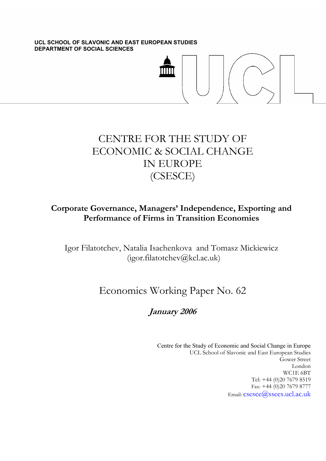**UCL SCHOOL OF SLAVONIC AND EAST EUROPEAN STUDIES DEPARTMENT OF SOCIAL SCIENCES** 



# CENTRE FOR THE STUDY OF ECONOMIC & SOCIAL CHANGE IN EUROPE (CSESCE)

## **Corporate Governance, Managers' Independence, Exporting and Performance of Firms in Transition Economies**

Igor Filatotchev, Natalia Isachenkova and Tomasz Mickiewicz (igor.filatotchev@kcl.ac.uk)

# Economics Working Paper No. 62

## **January 2006**

Centre for the Study of Economic and Social Change in Europe UCL School of Slavonic and East European Studies Gower Street London WC1E 6BT Tel: +44 (0)20 7679 8519 Fax: +44 (0)20 7679 8777 Email: csesce@ssees.ucl.ac.uk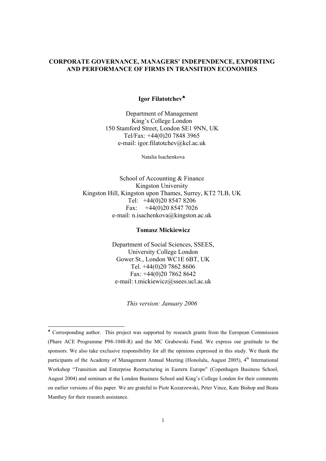#### **CORPORATE GOVERNANCE, MANAGERS' INDEPENDENCE, EXPORTING AND PERFORMANCE OF FIRMS IN TRANSITION ECONOMIES**

#### **Igor Filatotchev**♣

Department of Management King's College London 150 Stamford Street, London SE1 9NN, UK Tel/Fax: +44(0)20 7848 3965 e-mail: igor.filatotchev@kcl.ac.uk

Natalia Isachenkova

School of Accounting & Finance Kingston University Kingston Hill, Kingston upon Thames, Surrey, KT2 7LB, UK Tel: +44(0)20 8547 8206 Fax:  $+44(0)2085477026$ e-mail: n.isachenkova@kingston.ac.uk

#### **Tomasz Mickiewicz**

Department of Social Sciences, SSEES, University College London Gower St., London WC1E 6BT, UK Tel. +44(0)20 7862 8606 Fax: +44(0)20 7862 8642 e-mail: t.mickiewicz@ssees.ucl.ac.uk

*This version: January 2006*

 $\overline{a}$ 

<sup>♣</sup> Corresponding author. This project was supported by research grants from the European Commission (Phare ACE Programme P98-1048-R) and the MC Grabowski Fund. We express our gratitude to the sponsors. We also take exclusive responsibility for all the opinions expressed in this study. We thank the participants of the Academy of Management Annual Meeting (Honolulu, August 2005), 4<sup>th</sup> International Workshop "Transition and Enterprise Restructuring in Eastern Europe" (Copenhagen Business School, August 2004) and seminars at the London Business School and King's College London for their comments on earlier versions of this paper. We are grateful to Piotr Kozarzewski, Peter Vince, Kate Bishop and Beata Manthey for their research assistance.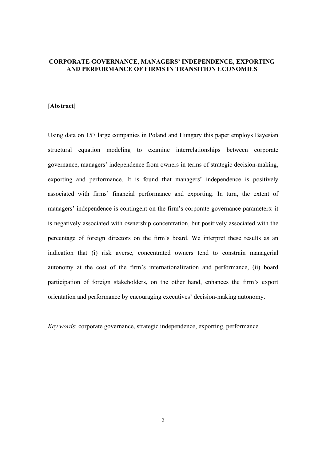#### **CORPORATE GOVERNANCE, MANAGERS' INDEPENDENCE, EXPORTING AND PERFORMANCE OF FIRMS IN TRANSITION ECONOMIES**

#### **[Abstract]**

Using data on 157 large companies in Poland and Hungary this paper employs Bayesian structural equation modeling to examine interrelationships between corporate governance, managers' independence from owners in terms of strategic decision-making, exporting and performance. It is found that managers' independence is positively associated with firms' financial performance and exporting. In turn, the extent of managers' independence is contingent on the firm's corporate governance parameters: it is negatively associated with ownership concentration, but positively associated with the percentage of foreign directors on the firm's board. We interpret these results as an indication that (i) risk averse, concentrated owners tend to constrain managerial autonomy at the cost of the firm's internationalization and performance, (ii) board participation of foreign stakeholders, on the other hand, enhances the firm's export orientation and performance by encouraging executives' decision-making autonomy.

*Key words*: corporate governance, strategic independence, exporting, performance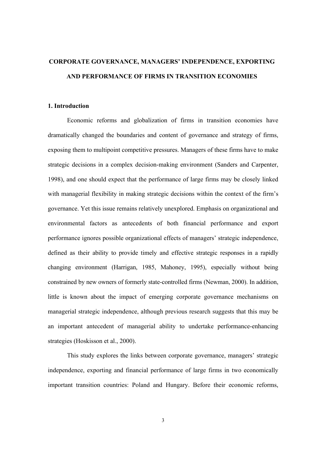## **CORPORATE GOVERNANCE, MANAGERS' INDEPENDENCE, EXPORTING AND PERFORMANCE OF FIRMS IN TRANSITION ECONOMIES**

#### **1. Introduction**

Economic reforms and globalization of firms in transition economies have dramatically changed the boundaries and content of governance and strategy of firms, exposing them to multipoint competitive pressures. Managers of these firms have to make strategic decisions in a complex decision-making environment (Sanders and Carpenter, 1998), and one should expect that the performance of large firms may be closely linked with managerial flexibility in making strategic decisions within the context of the firm's governance. Yet this issue remains relatively unexplored. Emphasis on organizational and environmental factors as antecedents of both financial performance and export performance ignores possible organizational effects of managers' strategic independence, defined as their ability to provide timely and effective strategic responses in a rapidly changing environment (Harrigan, 1985, Mahoney, 1995), especially without being constrained by new owners of formerly state-controlled firms (Newman, 2000). In addition, little is known about the impact of emerging corporate governance mechanisms on managerial strategic independence, although previous research suggests that this may be an important antecedent of managerial ability to undertake performance-enhancing strategies (Hoskisson et al., 2000).

This study explores the links between corporate governance, managers' strategic independence, exporting and financial performance of large firms in two economically important transition countries: Poland and Hungary. Before their economic reforms,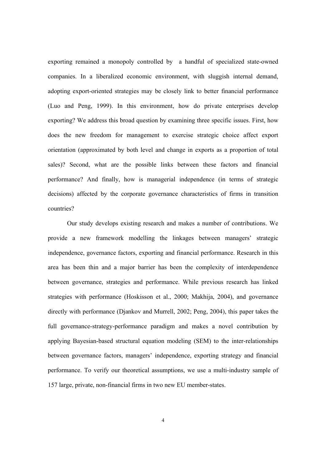exporting remained a monopoly controlled by a handful of specialized state-owned companies. In a liberalized economic environment, with sluggish internal demand, adopting export-oriented strategies may be closely link to better financial performance (Luo and Peng, 1999). In this environment, how do private enterprises develop exporting? We address this broad question by examining three specific issues. First, how does the new freedom for management to exercise strategic choice affect export orientation (approximated by both level and change in exports as a proportion of total sales)? Second, what are the possible links between these factors and financial performance? And finally, how is managerial independence (in terms of strategic decisions) affected by the corporate governance characteristics of firms in transition countries?

Our study develops existing research and makes a number of contributions. We provide a new framework modelling the linkages between managers' strategic independence, governance factors, exporting and financial performance. Research in this area has been thin and a major barrier has been the complexity of interdependence between governance, strategies and performance. While previous research has linked strategies with performance (Hoskisson et al., 2000; Makhija, 2004), and governance directly with performance (Djankov and Murrell, 2002; Peng, 2004), this paper takes the full governance-strategy-performance paradigm and makes a novel contribution by applying Bayesian-based structural equation modeling (SEM) to the inter-relationships between governance factors, managers' independence, exporting strategy and financial performance. To verify our theoretical assumptions, we use a multi-industry sample of 157 large, private, non-financial firms in two new EU member-states.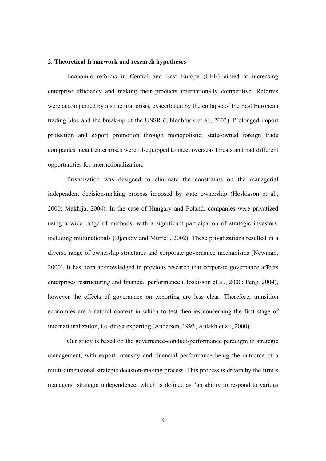#### **2. Theoretical framework and research hypotheses**

Economic reforms in Central and East Europe (CEE) aimed at increasing enterprise efficiency and making their products internationally competitive. Reforms were accompanied by a structural crisis, exacerbated by the collapse of the East European trading bloc and the break-up of the USSR (Uhlenbruck et al., 2003). Prolonged import protection and export promotion through monopolistic, state-owned foreign trade companies meant enterprises were ill-equipped to meet overseas threats and had different opportunities for internationalization.

Privatization was designed to eliminate the constraints on the managerial independent decision-making process imposed by state ownership (Hoskisson et al., 2000; Makhija, 2004). In the case of Hungary and Poland, companies were privatized using a wide range of methods, with a significant participation of strategic investors, including multinationals (Djankov and Murrell, 2002). These privatizations resulted in a diverse range of ownership structures and corporate governance mechanisms (Newman, 2000). It has been acknowledged in previous research that corporate governance affects enterprises restructuring and financial performance (Hoskisson et al., 2000; Peng, 2004), however the effects of governance on exporting are less clear. Therefore, transition economies are a natural context in which to test theories concerning the first stage of internationalization, i.e. direct exporting (Andersen, 1993; Aulakh et al., 2000).

Our study is based on the governance-conduct-performance paradigm in strategic management, with export intensity and financial performance being the outcome of a multi-dimensional strategic decision-making process. This process is driven by the firm's managers' strategic independence, which is defined as "an ability to respond to various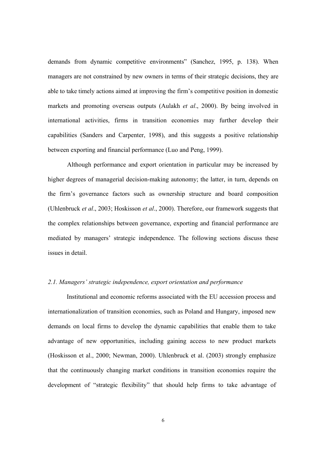demands from dynamic competitive environments" (Sanchez, 1995, p. 138). When managers are not constrained by new owners in terms of their strategic decisions, they are able to take timely actions aimed at improving the firm's competitive position in domestic markets and promoting overseas outputs (Aulakh *et al*., 2000). By being involved in international activities, firms in transition economies may further develop their capabilities (Sanders and Carpenter, 1998), and this suggests a positive relationship between exporting and financial performance (Luo and Peng, 1999).

Although performance and export orientation in particular may be increased by higher degrees of managerial decision-making autonomy; the latter, in turn, depends on the firm's governance factors such as ownership structure and board composition (Uhlenbruck *et al*., 2003; Hoskisson *et al*., 2000). Therefore, our framework suggests that the complex relationships between governance, exporting and financial performance are mediated by managers' strategic independence. The following sections discuss these issues in detail.

#### *2.1. Managers' strategic independence, export orientation and performance*

Institutional and economic reforms associated with the EU accession process and internationalization of transition economies, such as Poland and Hungary, imposed new demands on local firms to develop the dynamic capabilities that enable them to take advantage of new opportunities, including gaining access to new product markets (Hoskisson et al., 2000; Newman, 2000). Uhlenbruck et al. (2003) strongly emphasize that the continuously changing market conditions in transition economies require the development of "strategic flexibility" that should help firms to take advantage of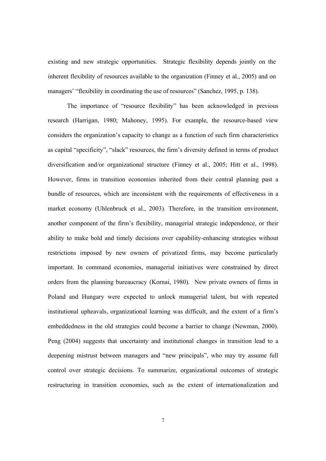existing and new strategic opportunities. Strategic flexibility depends jointly on the inherent flexibility of resources available to the organization (Finney et al., 2005) and on managers' "flexibility in coordinating the use of resources" (Sanchez, 1995, p. 138).

The importance of "resource flexibility" has been acknowledged in previous research (Harrigan, 1980; Mahoney, 1995). For example, the resource-based view considers the organization's capacity to change as a function of such firm characteristics as capital "specificity", "slack" resources, the firm's diversity defined in terms of product diversification and/or organizational structure (Finney et al., 2005; Hitt et al., 1998). However, firms in transition economies inherited from their central planning past a bundle of resources, which are inconsistent with the requirements of effectiveness in a market economy (Uhlenbruck et al., 2003). Therefore, in the transition environment, another component of the firm's flexibility, managerial strategic independence, or their ability to make bold and timely decisions over capability-enhancing strategies without restrictions imposed by new owners of privatized firms, may become particularly important. In command economies, managerial initiatives were constrained by direct orders from the planning bureaucracy (Kornai, 1980). New private owners of firms in Poland and Hungary were expected to unlock managerial talent, but with repeated institutional upheavals, organizational learning was difficult, and the extent of a firm's embeddedness in the old strategies could become a barrier to change (Newman, 2000). Peng (2004) suggests that uncertainty and institutional changes in transition lead to a deepening mistrust between managers and "new principals", who may try assume full control over strategic decisions. To summarize, organizational outcomes of strategic restructuring in transition economies, such as the extent of internationalization and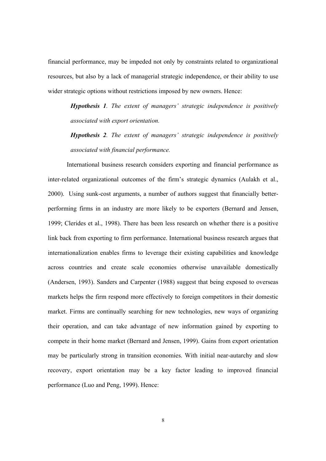financial performance, may be impeded not only by constraints related to organizational resources, but also by a lack of managerial strategic independence, or their ability to use wider strategic options without restrictions imposed by new owners. Hence:

*Hypothesis 1. The extent of managers' strategic independence is positively associated with export orientation.* 

*Hypothesis 2. The extent of managers' strategic independence is positively associated with financial performance.* 

International business research considers exporting and financial performance as inter-related organizational outcomes of the firm's strategic dynamics (Aulakh et al., 2000). Using sunk-cost arguments, a number of authors suggest that financially betterperforming firms in an industry are more likely to be exporters (Bernard and Jensen, 1999; Clerides et al., 1998). There has been less research on whether there is a positive link back from exporting to firm performance. International business research argues that internationalization enables firms to leverage their existing capabilities and knowledge across countries and create scale economies otherwise unavailable domestically (Andersen, 1993). Sanders and Carpenter (1988) suggest that being exposed to overseas markets helps the firm respond more effectively to foreign competitors in their domestic market. Firms are continually searching for new technologies, new ways of organizing their operation, and can take advantage of new information gained by exporting to compete in their home market (Bernard and Jensen, 1999). Gains from export orientation may be particularly strong in transition economies. With initial near-autarchy and slow recovery, export orientation may be a key factor leading to improved financial performance (Luo and Peng, 1999). Hence:

8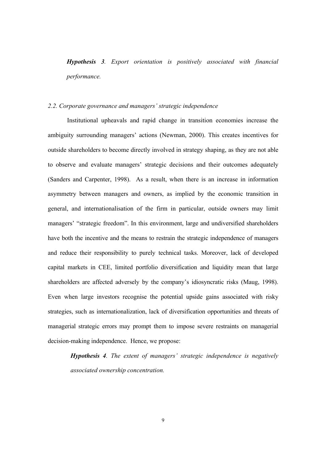*Hypothesis 3. Export orientation is positively associated with financial performance.* 

#### *2.2. Corporate governance and managers' strategic independence*

 Institutional upheavals and rapid change in transition economies increase the ambiguity surrounding managers' actions (Newman, 2000). This creates incentives for outside shareholders to become directly involved in strategy shaping, as they are not able to observe and evaluate managers' strategic decisions and their outcomes adequately (Sanders and Carpenter, 1998). As a result, when there is an increase in information asymmetry between managers and owners, as implied by the economic transition in general, and internationalisation of the firm in particular, outside owners may limit managers' "strategic freedom". In this environment, large and undiversified shareholders have both the incentive and the means to restrain the strategic independence of managers and reduce their responsibility to purely technical tasks. Moreover, lack of developed capital markets in CEE, limited portfolio diversification and liquidity mean that large shareholders are affected adversely by the company's idiosyncratic risks (Maug, 1998). Even when large investors recognise the potential upside gains associated with risky strategies, such as internationalization, lack of diversification opportunities and threats of managerial strategic errors may prompt them to impose severe restraints on managerial decision-making independence. Hence, we propose:

*Hypothesis 4. The extent of managers' strategic independence is negatively associated ownership concentration.*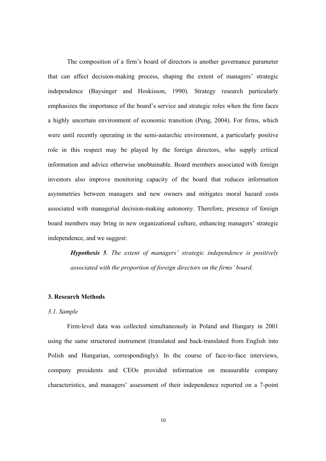The composition of a firm's board of directors is another governance parameter that can affect decision-making process, shaping the extent of managers' strategic independence (Baysinger and Hoskisson, 1990). Strategy research particularly emphasizes the importance of the board's service and strategic roles when the firm faces a highly uncertain environment of economic transition (Peng, 2004). For firms, which were until recently operating in the semi-autarchic environment, a particularly positive role in this respect may be played by the foreign directors, who supply critical information and advice otherwise unobtainable. Board members associated with foreign investors also improve monitoring capacity of the board that reduces information asymmetries between managers and new owners and mitigates moral hazard costs associated with managerial decision-making autonomy. Therefore, presence of foreign board members may bring in new organizational culture, enhancing managers' strategic independence, and we suggest:

*Hypothesis 5. The extent of managers' strategic independence is positively associated with the proportion of foreign directors on the firms' board.*

#### **3. Research Methods**

#### *3.1. Sample*

Firm-level data was collected simultaneously in Poland and Hungary in 2001 using the same structured instrument (translated and back-translated from English into Polish and Hungarian, correspondingly). In the course of face-to-face interviews, company presidents and CEOs provided information on measurable company characteristics, and managers' assessment of their independence reported on a 7-point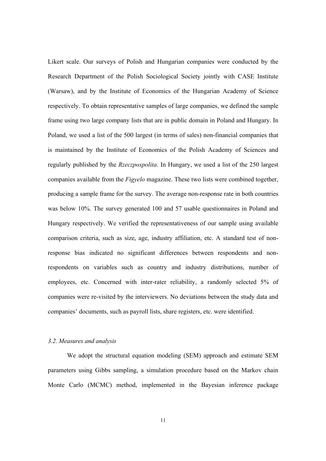Likert scale. Our surveys of Polish and Hungarian companies were conducted by the Research Department of the Polish Sociological Society jointly with CASE Institute (Warsaw), and by the Institute of Economics of the Hungarian Academy of Science respectively. To obtain representative samples of large companies, we defined the sample frame using two large company lists that are in public domain in Poland and Hungary. In Poland, we used a list of the 500 largest (in terms of sales) non-financial companies that is maintained by the Institute of Economics of the Polish Academy of Sciences and regularly published by the *Rzeczpospolita*. In Hungary, we used a list of the 250 largest companies available from the *Figyelo* magazine. These two lists were combined together, producing a sample frame for the survey. The average non-response rate in both countries was below 10%. The survey generated 100 and 57 usable questionnaires in Poland and Hungary respectively. We verified the representativeness of our sample using available comparison criteria, such as size, age, industry affiliation, etc. A standard test of nonresponse bias indicated no significant differences between respondents and nonrespondents on variables such as country and industry distributions, number of employees, etc. Concerned with inter-rater reliability, a randomly selected 5% of companies were re-visited by the interviewers. No deviations between the study data and companies' documents, such as payroll lists, share registers, etc. were identified.

#### *3.2. Measures and analysis*

We adopt the structural equation modeling (SEM) approach and estimate SEM parameters using Gibbs sampling, a simulation procedure based on the Markov chain Monte Carlo (MCMC) method, implemented in the Bayesian inference package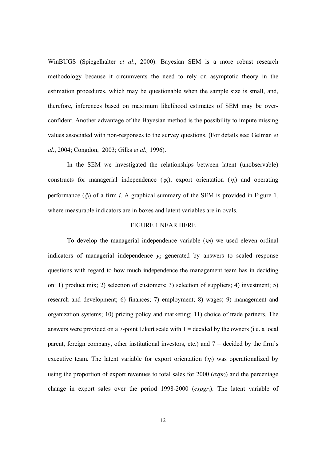WinBUGS (Spiegelhalter *et al*., 2000). Bayesian SEM is a more robust research methodology because it circumvents the need to rely on asymptotic theory in the estimation procedures, which may be questionable when the sample size is small, and, therefore, inferences based on maximum likelihood estimates of SEM may be overconfident. Another advantage of the Bayesian method is the possibility to impute missing values associated with non-responses to the survey questions. (For details see: Gelman *et al*., 2004; Congdon, 2003; Gilks *et al.,* 1996).

 In the SEM we investigated the relationships between latent (unobservable) constructs for managerial independence  $(\psi_i)$ , export orientation  $(\eta_i)$  and operating performance  $(\xi_i)$  of a firm *i*. A graphical summary of the SEM is provided in Figure 1, where measurable indicators are in boxes and latent variables are in ovals.

#### FIGURE 1 NEAR HERE

To develop the managerial independence variable (<sup>ψ</sup>*i*) we used eleven ordinal indicators of managerial independence  $y_k$  generated by answers to scaled response questions with regard to how much independence the management team has in deciding on: 1) product mix; 2) selection of customers; 3) selection of suppliers; 4) investment; 5) research and development; 6) finances; 7) employment; 8) wages; 9) management and organization systems; 10) pricing policy and marketing; 11) choice of trade partners. The answers were provided on a 7-point Likert scale with  $1 =$  decided by the owners (i.e. a local parent, foreign company, other institutional investors, etc.) and  $7 =$  decided by the firm's executive team. The latent variable for export orientation  $(\eta_i)$  was operationalized by using the proportion of export revenues to total sales for 2000 (*expri*) and the percentage change in export sales over the period 1998-2000 (*expgri*). The latent variable of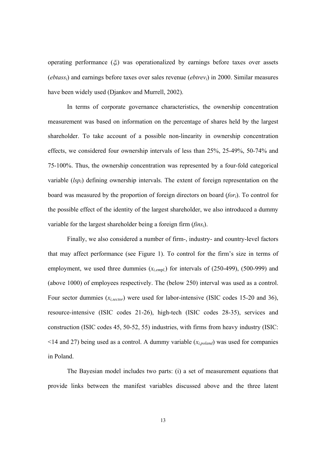operating performance  $(\xi_i)$  was operationalized by earnings before taxes over assets (*ebtassi*) and earnings before taxes over sales revenue (*ebtrevi*) in 2000. Similar measures have been widely used (Djankov and Murrell, 2002).

In terms of corporate governance characteristics, the ownership concentration measurement was based on information on the percentage of shares held by the largest shareholder. To take account of a possible non-linearity in ownership concentration effects, we considered four ownership intervals of less than 25%, 25-49%, 50-74% and 75-100%. Thus, the ownership concentration was represented by a four-fold categorical variable (*lspi*) defining ownership intervals. The extent of foreign representation on the board was measured by the proportion of foreign directors on board (*fori*). To control for the possible effect of the identity of the largest shareholder, we also introduced a dummy variable for the largest shareholder being a foreign firm (*finsi*).

Finally, we also considered a number of firm-, industry- and country-level factors that may affect performance (see Figure 1). To control for the firm's size in terms of employment, we used three dummies  $(x_{i,empl})$  for intervals of  $(250-499)$ ,  $(500-999)$  and (above 1000) of employees respectively. The (below 250) interval was used as a control. Four sector dummies (*xi,sector*) were used for labor-intensive (ISIC codes 15-20 and 36), resource-intensive (ISIC codes 21-26), high-tech (ISIC codes 28-35), services and construction (ISIC codes 45, 50-52, 55) industries, with firms from heavy industry (ISIC: <14 and 27) being used as a control. A dummy variable (*xi,poland*) was used for companies in Poland.

The Bayesian model includes two parts: (i) a set of measurement equations that provide links between the manifest variables discussed above and the three latent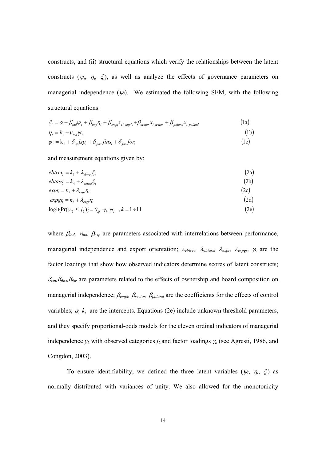constructs, and (ii) structural equations which verify the relationships between the latent constructs ( $\psi_i$ ,  $\eta_i$ ,  $\xi_i$ ), as well as analyze the effects of governance parameters on managerial independence  $(\psi_i)$ . We estimated the following SEM, with the following structural equations:

$$
\xi_i = \alpha + \beta_{ind} \psi_i + \beta_{exp} \eta_i + \beta_{empl} x_i_{empty} + \beta_{sector} x_i_{isector} + \beta_{poland} x_i_{poland}
$$
\n
$$
\eta_i = k_1 + \nu_{ind} \psi_i
$$
\n
$$
\psi_i = k_2 + \delta_{kp} lsp_i + \delta_{fins} fins_i + \delta_{for} for_i
$$
\n(1c)

and measurement equations given by:

| $ebtrev_i = k_3 + \lambda_{ebtrev} \xi_i$                                                   | (2a) |
|---------------------------------------------------------------------------------------------|------|
| $ebtass_i = k_4 + \lambda_{ebtass} \xi_i$                                                   | (2b) |
| $exp r_i = k_5 + \lambda_{exp} \eta_i$                                                      | (2c) |
| $expgr_i = k_6 + \lambda_{exgr}r_i$                                                         | (2d) |
| $\text{logit}\{\Pr(y_{ik} \leq j_k)\} = \theta_{kj} - \gamma_k \psi_i, \quad k = 1 \div 11$ | (2e) |

where β*ind,* ν*ind,* β*exp* are parameters associated with interrelations between performance, managerial independence and export orientation; λ*ebtrev,* λ*ebtass,* λ*expr,* λ*expgr,* <sup>γ</sup>*k* are the factor loadings that show how observed indicators determine scores of latent constructs; <sup>δ</sup>*lsp,*δ*fins,*<sup>δ</sup>*for* are parameters related to the effects of ownership and board composition on managerial independence; β*empl,* β*sector,* β*poland* are the coefficients for the effects of control variables;  $\alpha$ ,  $k_i$  are the intercepts. Equations (2e) include unknown threshold parameters, and they specify proportional-odds models for the eleven ordinal indicators of managerial independence  $y_k$  with observed categories  $j_k$  and factor loadings  $\gamma_k$  (see Agresti, 1986, and Congdon, 2003).

To ensure identifiability, we defined the three latent variables  $(\psi_i, \eta_i, \xi_i)$  as normally distributed with variances of unity. We also allowed for the monotonicity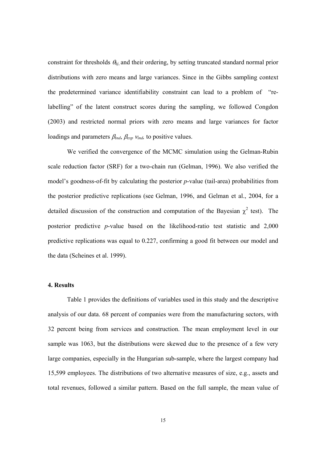constraint for thresholds θ*kj*, and their ordering, by setting truncated standard normal prior distributions with zero means and large variances. Since in the Gibbs sampling context the predetermined variance identifiability constraint can lead to a problem of "relabelling" of the latent construct scores during the sampling, we followed Congdon (2003) and restricted normal priors with zero means and large variances for factor loadings and parameters β*ind*, β*exp* <sup>ν</sup>*ind,* to positive values.

We verified the convergence of the MCMC simulation using the Gelman-Rubin scale reduction factor (SRF) for a two-chain run (Gelman, 1996). We also verified the model's goodness-of-fit by calculating the posterior *p*-value (tail-area) probabilities from the posterior predictive replications (see Gelman, 1996, and Gelman et al., 2004, for a detailed discussion of the construction and computation of the Bayesian  $\chi^2$  test). The posterior predictive *p*-value based on the likelihood-ratio test statistic and 2,000 predictive replications was equal to 0.227, confirming a good fit between our model and the data (Scheines et al. 1999).

#### **4. Results**

Table 1 provides the definitions of variables used in this study and the descriptive analysis of our data. 68 percent of companies were from the manufacturing sectors, with 32 percent being from services and construction. The mean employment level in our sample was 1063, but the distributions were skewed due to the presence of a few very large companies, especially in the Hungarian sub-sample, where the largest company had 15,599 employees. The distributions of two alternative measures of size, e.g., assets and total revenues, followed a similar pattern. Based on the full sample, the mean value of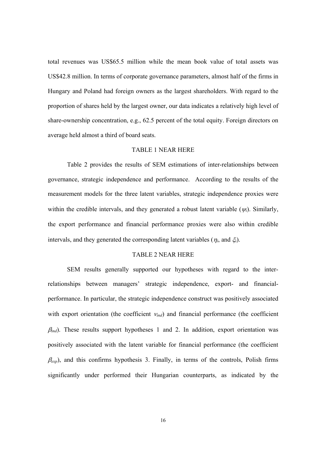total revenues was US\$65.5 million while the mean book value of total assets was US\$42.8 million. In terms of corporate governance parameters, almost half of the firms in Hungary and Poland had foreign owners as the largest shareholders. With regard to the proportion of shares held by the largest owner, our data indicates a relatively high level of share-ownership concentration, e.g., 62.5 percent of the total equity. Foreign directors on average held almost a third of board seats.

#### TABLE 1 NEAR HERE

Table 2 provides the results of SEM estimations of inter-relationships between governance, strategic independence and performance. According to the results of the measurement models for the three latent variables, strategic independence proxies were within the credible intervals, and they generated a robust latent variable  $(\psi_i)$ . Similarly, the export performance and financial performance proxies were also within credible intervals, and they generated the corresponding latent variables ( $\eta_i$ , and  $\xi_i$ ).

#### TABLE 2 NEAR HERE

SEM results generally supported our hypotheses with regard to the interrelationships between managers' strategic independence, export- and financialperformance. In particular, the strategic independence construct was positively associated with export orientation (the coefficient <sup>ν</sup>*ind*) and financial performance (the coefficient  $\beta_{ind}$ ). These results support hypotheses 1 and 2. In addition, export orientation was positively associated with the latent variable for financial performance (the coefficient  $\beta_{exp}$ ), and this confirms hypothesis 3. Finally, in terms of the controls, Polish firms significantly under performed their Hungarian counterparts, as indicated by the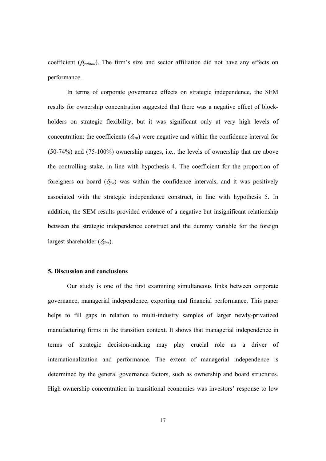coefficient (β*poland*). The firm's size and sector affiliation did not have any effects on performance.

In terms of corporate governance effects on strategic independence, the SEM results for ownership concentration suggested that there was a negative effect of blockholders on strategic flexibility, but it was significant only at very high levels of concentration: the coefficients  $(\delta_{lsp})$  were negative and within the confidence interval for (50-74%) and (75-100%) ownership ranges, i.e., the levels of ownership that are above the controlling stake, in line with hypothesis 4. The coefficient for the proportion of foreigners on board  $(\delta_{for})$  was within the confidence intervals, and it was positively associated with the strategic independence construct, in line with hypothesis 5. In addition, the SEM results provided evidence of a negative but insignificant relationship between the strategic independence construct and the dummy variable for the foreign largest shareholder (δ*fins*).

#### **5. Discussion and conclusions**

Our study is one of the first examining simultaneous links between corporate governance, managerial independence, exporting and financial performance. This paper helps to fill gaps in relation to multi-industry samples of larger newly-privatized manufacturing firms in the transition context. It shows that managerial independence in terms of strategic decision-making may play crucial role as a driver of internationalization and performance. The extent of managerial independence is determined by the general governance factors, such as ownership and board structures. High ownership concentration in transitional economies was investors' response to low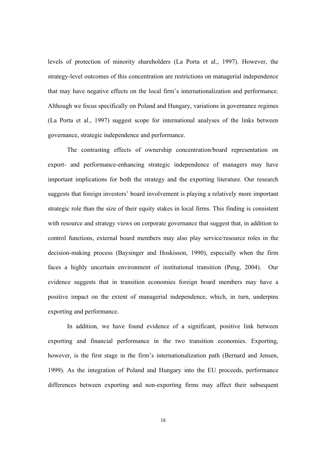levels of protection of minority shareholders (La Porta et al., 1997). However, the strategy-level outcomes of this concentration are restrictions on managerial independence that may have negative effects on the local firm's internationalization and performance. Although we focus specifically on Poland and Hungary, variations in governance regimes (La Porta et al., 1997) suggest scope for international analyses of the links between governance, strategic independence and performance.

The contrasting effects of ownership concentration/board representation on export- and performance-enhancing strategic independence of managers may have important implications for both the strategy and the exporting literature. Our research suggests that foreign investors' board involvement is playing a relatively more important strategic role than the size of their equity stakes in local firms. This finding is consistent with resource and strategy views on corporate governance that suggest that, in addition to control functions, external board members may also play service/resource roles in the decision-making process (Baysinger and Hoskisson, 1990), especially when the firm faces a highly uncertain environment of institutional transition (Peng, 2004). Our evidence suggests that in transition economies foreign board members may have a positive impact on the extent of managerial independence, which, in turn, underpins exporting and performance.

In addition, we have found evidence of a significant, positive link between exporting and financial performance in the two transition economies. Exporting, however, is the first stage in the firm's internationalization path (Bernard and Jensen, 1999). As the integration of Poland and Hungary into the EU proceeds, performance differences between exporting and non-exporting firms may affect their subsequent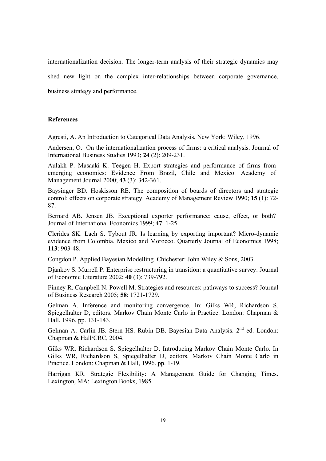internationalization decision. The longer-term analysis of their strategic dynamics may shed new light on the complex inter-relationships between corporate governance, business strategy and performance.

#### **References**

Agresti, A. An Introduction to Categorical Data Analysis*.* New York: Wiley, 1996.

Andersen, O. On the internationalization process of firms: a critical analysis. Journal of International Business Studies 1993; **24** (2): 209-231.

Aulakh P. Masaaki K. Teegen H. Export strategies and performance of firms from emerging economies: Evidence From Brazil, Chile and Mexico. Academy of Management Journal 2000; **43** (3): 342-361.

Baysinger BD. Hoskisson RE. The composition of boards of directors and strategic control: effects on corporate strategy. Academy of Management Review 1990; **15** (1): 72- 87.

Bernard AB. Jensen JB. Exceptional exporter performance: cause, effect, or both? Journal of International Economics 1999; **47**: 1-25.

Clerides SK. Lach S. Tybout JR. Is learning by exporting important? Micro-dynamic evidence from Colombia, Mexico and Morocco. Quarterly Journal of Economics 1998; **113**: 903-48.

Congdon P. Applied Bayesian Modelling*.* Chichester: John Wiley & Sons, 2003.

Djankov S. Murrell P. Enterprise restructuring in transition: a quantitative survey. Journal of Economic Literature 2002; **40** (3): 739-792.

Finney R. Campbell N. Powell M. Strategies and resources: pathways to success? Journal of Business Research 2005; **58**: 1721-1729.

Gelman A. Inference and monitoring convergence. In: Gilks WR, Richardson S, Spiegelhalter D, editors. Markov Chain Monte Carlo in Practice. London: Chapman & Hall, 1996. pp. 131-143.

Gelman A. Carlin JB. Stern HS. Rubin DB. Bayesian Data Analysis. 2<sup>nd</sup> ed. London: Chapman & Hall/CRC, 2004.

Gilks WR. Richardson S. Spiegelhalter D. Introducing Markov Chain Monte Carlo. In Gilks WR, Richardson S, Spiegelhalter D, editors. Markov Chain Monte Carlo in Practice. London: Chapman & Hall, 1996. pp. 1-19.

Harrigan KR. Strategic Flexibility: A Management Guide for Changing Times. Lexington, MA: Lexington Books, 1985.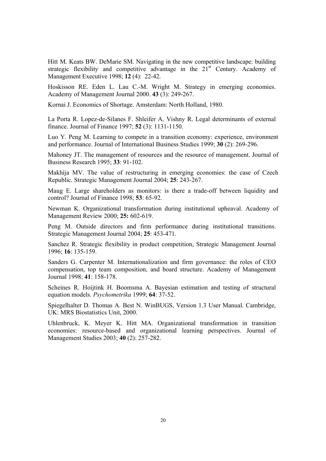Hitt M. Keats BW. DeMarie SM. Navigating in the new competitive landscape: building strategic flexibility and competitive advantage in the  $21<sup>st</sup>$  Century. Academy of Management Executive 1998; **12** (4): 22-42.

Hoskisson RE. Eden L. Lau C.-M. Wright M. Strategy in emerging economies. Academy of Management Journal 2000. **43** (3): 249-267.

Kornai J. Economics of Shortage. Amsterdam: North Holland, 1980.

La Porta R. Lopez-de-Silanes F. Shleifer A. Vishny R. Legal determinants of external finance. Journal of Finance 1997; **52** (3): 1131-1150.

Luo Y. Peng M. Learning to compete in a transition economy: experience, environment and performance. Journal of International Business Studies 1999; **30** (2): 269-296.

Mahoney JT. The management of resources and the resource of management. Journal of Business Research 1995; **33**: 91-102.

Makhija MV. The value of restructuring in emerging economies: the case of Czech Republic. Strategic Management Journal 2004; **25**: 243-267.

Maug E. Large shareholders as monitors: is there a trade-off between liquidity and control? Journal of Finance 1998; **53**: 65-92.

Newman K. Organizational transformation during institutional upheaval. Academy of Management Review 2000; **25:** 602-619.

Peng M. Outside directors and firm performance during institutional transitions. Strategic Management Journal 2004; **25**: 453-471.

Sanchez R. Strategic flexibility in product competition, Strategic Management Journal 1996; **16**: 135-159.

Sanders G. Carpenter M. Internationalization and firm governance: the roles of CEO compensation, top team composition, and board structure. Academy of Management Journal 1998; **41**: 158-178.

Scheines R. Hoijtink H. Boomsma A. Bayesian estimation and testing of structural equation models. *Psychometrika* 1999; **64**: 37-52.

Spiegelhalter D. Thomas A. Best N. WinBUGS, Version 1.3 User Manual. Cambridge, UK: MRS Biostatistics Unit, 2000.

Uhlenbruck, K. Meyer K. Hitt MA. Organizational transformation in transition economies: resource-based and organizational learning perspectives. Journal of Management Studies 2003; **40** (2): 257-282.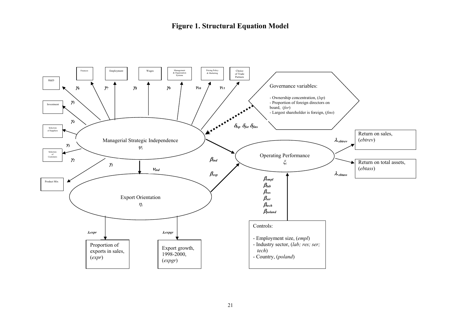### **Figure 1. Structural Equation Model**

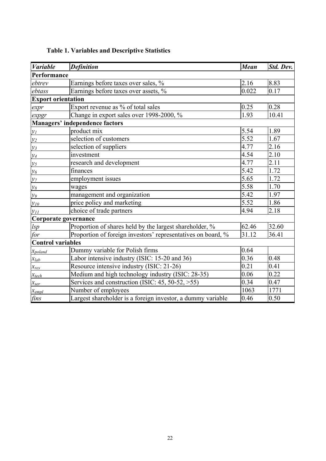| <b>Variable</b>           | <b>Definition</b>                                            | <b>Mean</b> | Std. Dev. |
|---------------------------|--------------------------------------------------------------|-------------|-----------|
| Performance               |                                                              |             |           |
| ebtrev                    | Earnings before taxes over sales, %                          | 2.16        | 8.83      |
| ebtass                    | Earnings before taxes over assets, %                         | 0.022       | 0.17      |
| <b>Export orientation</b> |                                                              |             |           |
| expr                      | Export revenue as % of total sales                           | 0.25        | 0.28      |
| expgr                     | Change in export sales over 1998-2000, %                     | 1.93        | 10.41     |
|                           | <b>Managers' independence factors</b>                        |             |           |
| $y_I$                     | product mix                                                  | 5.54        | 1.89      |
| $y_2$                     | selection of customers                                       | 5.52        | 1.67      |
| $y_3$                     | selection of suppliers                                       | 4.77        | 2.16      |
| $y_4$                     | investment                                                   | 4.54        | 2.10      |
| $y_5$                     | research and development                                     | 4.77        | 2.11      |
| $y_{6}$                   | finances                                                     | 5.42        | 1.72      |
| $y_7$                     | employment issues                                            | 5.65        | 1.72      |
| $\mathcal{Y}\mathcal{S}$  | wages                                                        | 5.58        | 1.70      |
| $\mathcal{Y}^{\rho}$      | management and organization                                  | 5.42        | 1.97      |
| $y_{10}$                  | price policy and marketing                                   | 5.52        | 1.86      |
| $y_{II}$                  | choice of trade partners                                     | 4.94        | 2.18      |
| Corporate governance      |                                                              |             |           |
| lsp                       | Proportion of shares held by the largest shareholder, %      | 62.46       | 32.60     |
| for                       | Proportion of foreign investors' representatives on board, % | 31.12       | 36.41     |
| <b>Control variables</b>  |                                                              |             |           |
| $x_{poland}$              | Dummy variable for Polish firms                              | 0.64        |           |
| $x_{lab}$                 | Labor intensive industry (ISIC: 15-20 and 36)                | 0.36        | 0.48      |
| $x_{res}$                 | Resource intensive industry (ISIC: 21-26)                    | 0.21        | 0.41      |
| $x_{tech}$                | Medium and high technology industry (ISIC: 28-35)            | 0.06        | 0.22      |
| $x_{ser}$                 | Services and construction (ISIC: 45, 50-52, >55)             | 0.34        | 0.47      |
| $x_{empl}$                | Number of employees                                          | 1063        | 1771      |
| fins                      | Largest shareholder is a foreign investor, a dummy variable  | 0.46        | 0.50      |

### **Table 1. Variables and Descriptive Statistics**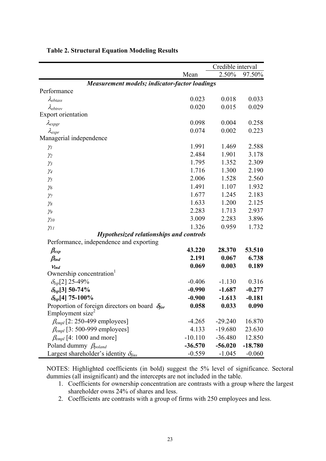|                                                         |           |           | Credible interval |  |
|---------------------------------------------------------|-----------|-----------|-------------------|--|
|                                                         | Mean      | 2.50%     | 97.50%            |  |
| <b>Measurement models; indicator-factor loadings</b>    |           |           |                   |  |
| Performance                                             |           |           |                   |  |
| $\lambda_{ebtass}$                                      | 0.023     | 0.018     | 0.033             |  |
| $\lambda_{ebtrev}$                                      | 0.020     | 0.015     | 0.029             |  |
| Export orientation                                      |           |           |                   |  |
| $\lambda_{expgr}$                                       | 0.098     | 0.004     | 0.258             |  |
| $\lambda_{expr}$                                        | 0.074     | 0.002     | 0.223             |  |
| Managerial independence                                 |           |           |                   |  |
| $\gamma_I$                                              | 1.991     | 1.469     | 2.588             |  |
| $\gamma_2$                                              | 2.484     | 1.901     | 3.178             |  |
| $\gamma_3$                                              | 1.795     | 1.352     | 2.309             |  |
| $\gamma_4$                                              | 1.716     | 1.300     | 2.190             |  |
| $\gamma_5$                                              | 2.006     | 1.528     | 2.560             |  |
| $\gamma_6$                                              | 1.491     | 1.107     | 1.932             |  |
| $\gamma$                                                | 1.677     | 1.245     | 2.183             |  |
| $\gamma_8$                                              | 1.633     | 1.200     | 2.125             |  |
| $\gamma_9$                                              | 2.283     | 1.713     | 2.937             |  |
| $\gamma_{10}$                                           | 3.009     | 2.283     | 3.896             |  |
| $\gamma_{11}$                                           | 1.326     | 0.959     | 1.732             |  |
| <b>Hypothesized relationships and controls</b>          |           |           |                   |  |
| Performance, independence and exporting                 |           |           |                   |  |
| $\beta_{exp}$                                           | 43.220    | 28.370    | 53.510            |  |
| $\beta_{ind}$                                           | 2.191     | 0.067     | 6.738             |  |
| $V_{ind}$                                               | 0.069     | 0.003     | 0.189             |  |
| Ownership concentration                                 |           |           |                   |  |
| $\delta_{lsp}[2]$ 25-49%                                | $-0.406$  | $-1.130$  | 0.316             |  |
| $\delta_{lsp}[3]$ 50-74%                                | $-0.990$  | $-1.687$  | $-0.277$          |  |
| $\delta_{lsp}$ [4] 75-100%                              | $-0.900$  | $-1.613$  | $-0.181$          |  |
| Proportion of foreign directors on board $\delta_{for}$ | 0.058     | 0.033     | 0.090             |  |
| Employment size <sup>2</sup>                            |           |           |                   |  |
| $\beta_{empl}$ [2: 250-499 employees]                   | $-4.265$  | $-29.240$ | 16.870            |  |
| $\beta_{empl}$ [3: 500-999 employees]                   | 4.133     | $-19.680$ | 23.630            |  |
| $\beta_{empl}$ [4: 1000 and more]                       | $-10.110$ | $-36.480$ | 12.850            |  |
| Poland dummy $\beta_{poland}$                           | $-36.570$ | $-56.020$ | $-18.780$         |  |
| Largest shareholder's identity $\delta_{\text{fins}}$   | $-0.559$  | $-1.045$  | $-0.060$          |  |

### **Table 2. Structural Equation Modeling Results**

NOTES: Highlighted coefficients (in bold) suggest the 5% level of significance. Sectoral dummies (all insignificant) and the intercepts are not included in the table.

- 1. Coefficients for ownership concentration are contrasts with a group where the largest shareholder owns 24% of shares and less.
- 2. Coefficients are contrasts with a group of firms with 250 employees and less.